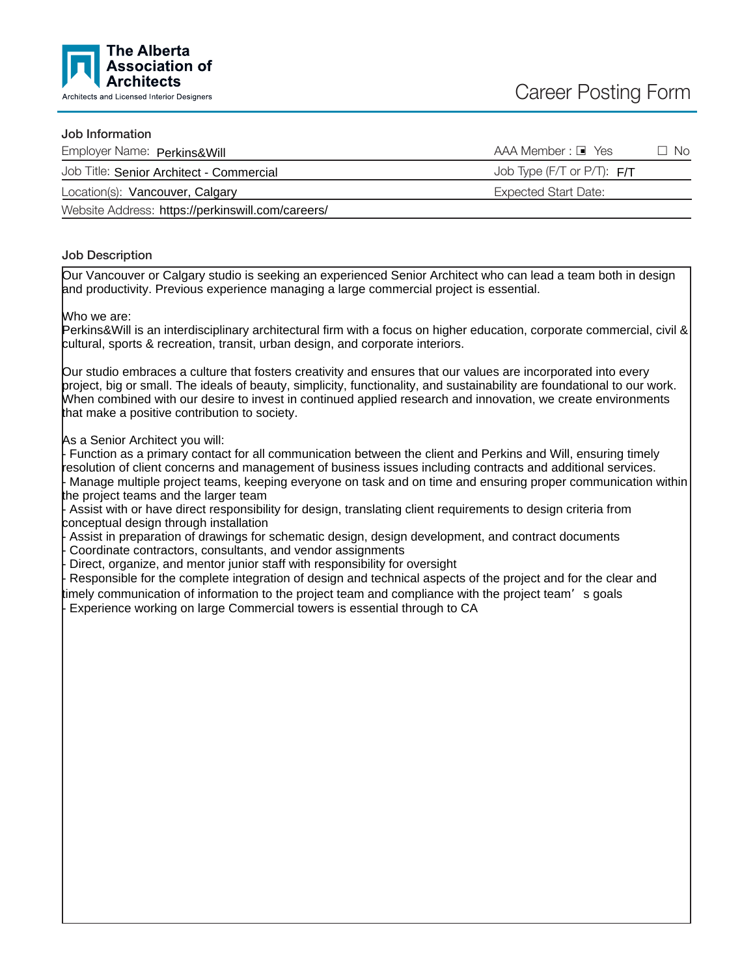

## Job Information

| Employer Name: Perkins&Will                       | AAA Member : □ Yes           | No. |
|---------------------------------------------------|------------------------------|-----|
| Job Title: Senior Architect - Commercial          | Job Type (F/T or P/T): $F/T$ |     |
| Location(s): Vancouver, Calgary                   | Expected Start Date:         |     |
| Website Address: https://perkinswill.com/careers/ |                              |     |

## Job Description

Our Vancouver or Calgary studio is seeking an experienced Senior Architect who can lead a team both in design and productivity. Previous experience managing a large commercial project is essential.

Who we are:

Perkins&Will is an interdisciplinary architectural firm with a focus on higher education, corporate commercial, civil & cultural, sports & recreation, transit, urban design, and corporate interiors.

Our studio embraces a culture that fosters creativity and ensures that our values are incorporated into every project, big or small. The ideals of beauty, simplicity, functionality, and sustainability are foundational to our work. When combined with our desire to invest in continued applied research and innovation, we create environments that make a positive contribution to society.

As a Senior Architect you will:

Function as a primary contact for all communication between the client and Perkins and Will, ensuring timely resolution of client concerns and management of business issues including contracts and additional services. - Manage multiple project teams, keeping everyone on task and on time and ensuring proper communication within the project teams and the larger team

Assist with or have direct responsibility for design, translating client requirements to design criteria from conceptual design through installation

Assist in preparation of drawings for schematic design, design development, and contract documents

Coordinate contractors, consultants, and vendor assignments

Direct, organize, and mentor junior staff with responsibility for oversight

Responsible for the complete integration of design and technical aspects of the project and for the clear and imely communication of information to the project team and compliance with the project team's goals Experience working on large Commercial towers is essential through to CA